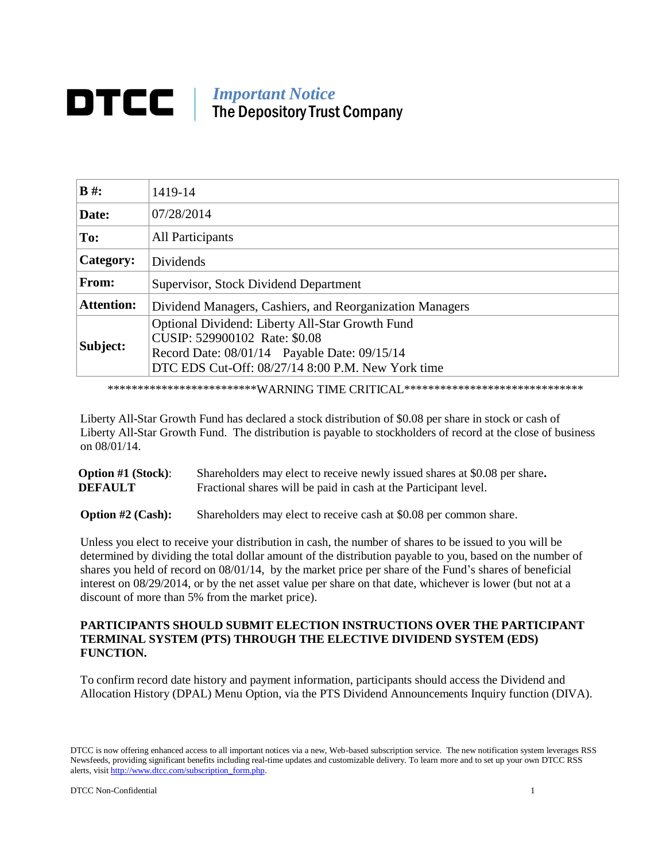## *Important Notice* DTCC II The DepositoryTrust Company

| $B \#$ :          | 1419-14                                                                                                                                                                               |  |
|-------------------|---------------------------------------------------------------------------------------------------------------------------------------------------------------------------------------|--|
| Date:             | 07/28/2014                                                                                                                                                                            |  |
| To:               | All Participants                                                                                                                                                                      |  |
| Category:         | Dividends                                                                                                                                                                             |  |
| From:             | Supervisor, Stock Dividend Department                                                                                                                                                 |  |
| <b>Attention:</b> | Dividend Managers, Cashiers, and Reorganization Managers                                                                                                                              |  |
| Subject:          | Optional Dividend: Liberty All-Star Growth Fund<br>CUSIP: 529900102 Rate: \$0.08<br>Record Date: 08/01/14 Payable Date: 09/15/14<br>DTC EDS Cut-Off: 08/27/14 8:00 P.M. New York time |  |

\*\*\*\*\*\*\*\*\*\*\*\*\*\*\*\*\*\*\*\*\*\*\*\*\*\*\*WARNING TIME CRITICAL\*\*\*\*\*\*\*\*\*\*\*\*\*\*\*\*\*\*\*\*\*\*\*\*\*\*\*\*\*\*\*

Liberty All-Star Growth Fund has declared a stock distribution of \$0.08 per share in stock or cash of Liberty All-Star Growth Fund. The distribution is payable to stockholders of record at the close of business on 08/01/14.

| <b>Option #1 (Stock):</b> | Shareholders may elect to receive newly issued shares at \$0.08 per share. |
|---------------------------|----------------------------------------------------------------------------|
| <b>DEFAULT</b>            | Fractional shares will be paid in cash at the Participant level.           |
|                           |                                                                            |

**Option #2 (Cash):** Shareholders may elect to receive cash at \$0.08 per common share.

Unless you elect to receive your distribution in cash, the number of shares to be issued to you will be determined by dividing the total dollar amount of the distribution payable to you, based on the number of shares you held of record on 08/01/14, by the market price per share of the Fund's shares of beneficial interest on 08/29/2014, or by the net asset value per share on that date, whichever is lower (but not at a discount of more than 5% from the market price).

## **PARTICIPANTS SHOULD SUBMIT ELECTION INSTRUCTIONS OVER THE PARTICIPANT TERMINAL SYSTEM (PTS) THROUGH THE ELECTIVE DIVIDEND SYSTEM (EDS) FUNCTION.**

To confirm record date history and payment information, participants should access the Dividend and Allocation History (DPAL) Menu Option, via the PTS Dividend Announcements Inquiry function (DIVA).

DTCC is now offering enhanced access to all important notices via a new, Web-based subscription service. The new notification system leverages RSS Newsfeeds, providing significant benefits including real-time updates and customizable delivery. To learn more and to set up your own DTCC RSS alerts, visit http://www.dtcc.com/subscription\_form.php.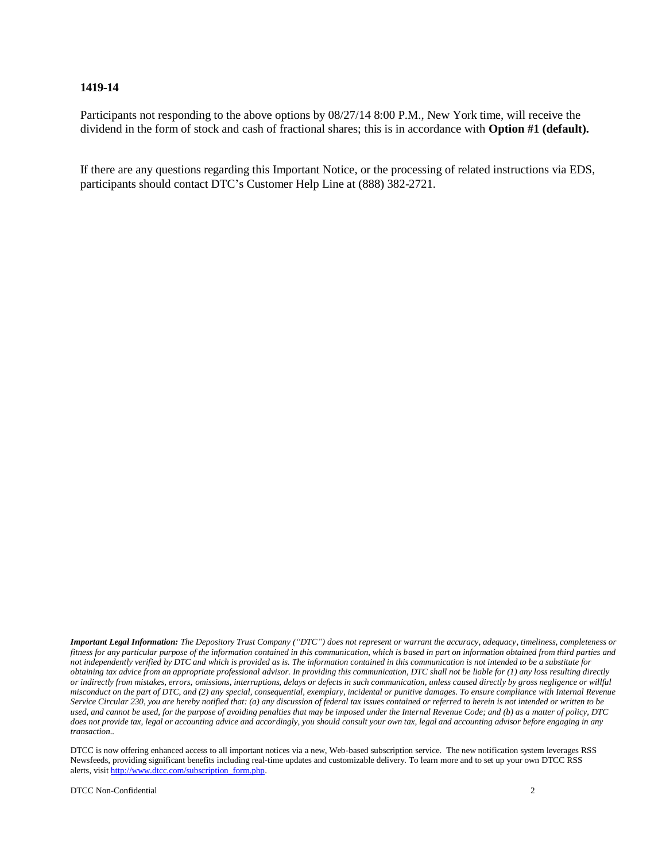## **1419-14**

Participants not responding to the above options by 08/27/14 8:00 P.M., New York time, will receive the dividend in the form of stock and cash of fractional shares; this is in accordance with **Option #1 (default).**

If there are any questions regarding this Important Notice, or the processing of related instructions via EDS, participants should contact DTC's Customer Help Line at (888) 382-2721.

Important Legal Information: The Depository Trust Company ("DTC") does not represent or warrant the accuracy, adequacy, timeliness, completeness or fitness for any particular purpose of the information contained in this communication, which is based in part on information obtained from third parties and not independently verified by DTC and which is provided as is. The information contained in this communication is not intended to be a substitute for obtaining tax advice from an appropriate professional advisor. In providing this communication, DTC shall not be liable for  $(1)$  any loss resulting directly or indirectly from mistakes, errors, omissions, interruptions, delays or defects in such communication, unless caused directly by gross negligence or willful misconduct on the part of DTC, and (2) any special, consequential, exemplary, incidental or punitive damages. To ensure compliance with Internal Revenue Service Circular 230, you are hereby notified that: (a) any discussion of federal tax issues contained or referred to herein is not intended or written to be used, and cannot be used, for the purpose of avoiding penalties that may be imposed under the Internal Revenue Code; and (b) as a matter of policy, DTC does not provide tax, legal or accounting advice and accordingly, you should consult your own tax, legal and accounting advisor before engaging in any *transaction..*

DTCC is now offering enhanced access to all important notices via a new, Web-based subscription service. The new notification system leverages RSS Newsfeeds, providing significant benefits including real-time updates and customizable delivery. To learn more and to set up your own DTCC RSS alerts, visit http://www.dtcc.com/subscription\_form.php.